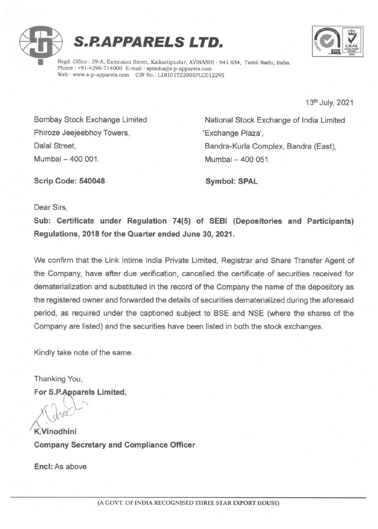



Regd. Office : 39-A, Extension Street, Kaikattipudur, AVINASHI - 641 654, Tamil Nadu, India. Web: www.s-p-apparels.com CIN No.: L18101TZ2005PLC012295

13<sup>th</sup> July, 2021

Phiroze Jeejeebhoy Towers, The Millian Change Plaza', Mumbai 400 001. Mumbai 400 051.

Bombay Stock Exchange Limited National Stock Exchange of India Limited Dalal Street, **Bandra-Kurla Complex, Bandra (East)**,

Scrip Code: 540048 Symbol: SPAL

Dear Sirs,

Sub: Certificate under Regulation 74(5) of SEBI (Depositories and Participants) Regulations, 2018 for the Quarter ended June 30, 2021.

We confirm that the Link Intime India Private Limited, Registrar and Share Transfer Agent of the Company, have after due verification, cancelled the certificate of securities received for dematerialization and substituted in the record of the Company the name of the depository as the registered owner and forwarded the details of securities dematerialized during the aforesaid period, as required under the captioned subject to BSE and NSE (where the shares of the Company are listed) and the securities have been listed in both the stock exchanges.

Kindly take note of the same.

Thanking You,

For S.P.Apparels Limited,<br>  $\chi$ (chra

K.Vinodhini Company Secretary and Compliance Officer

Encl: As above